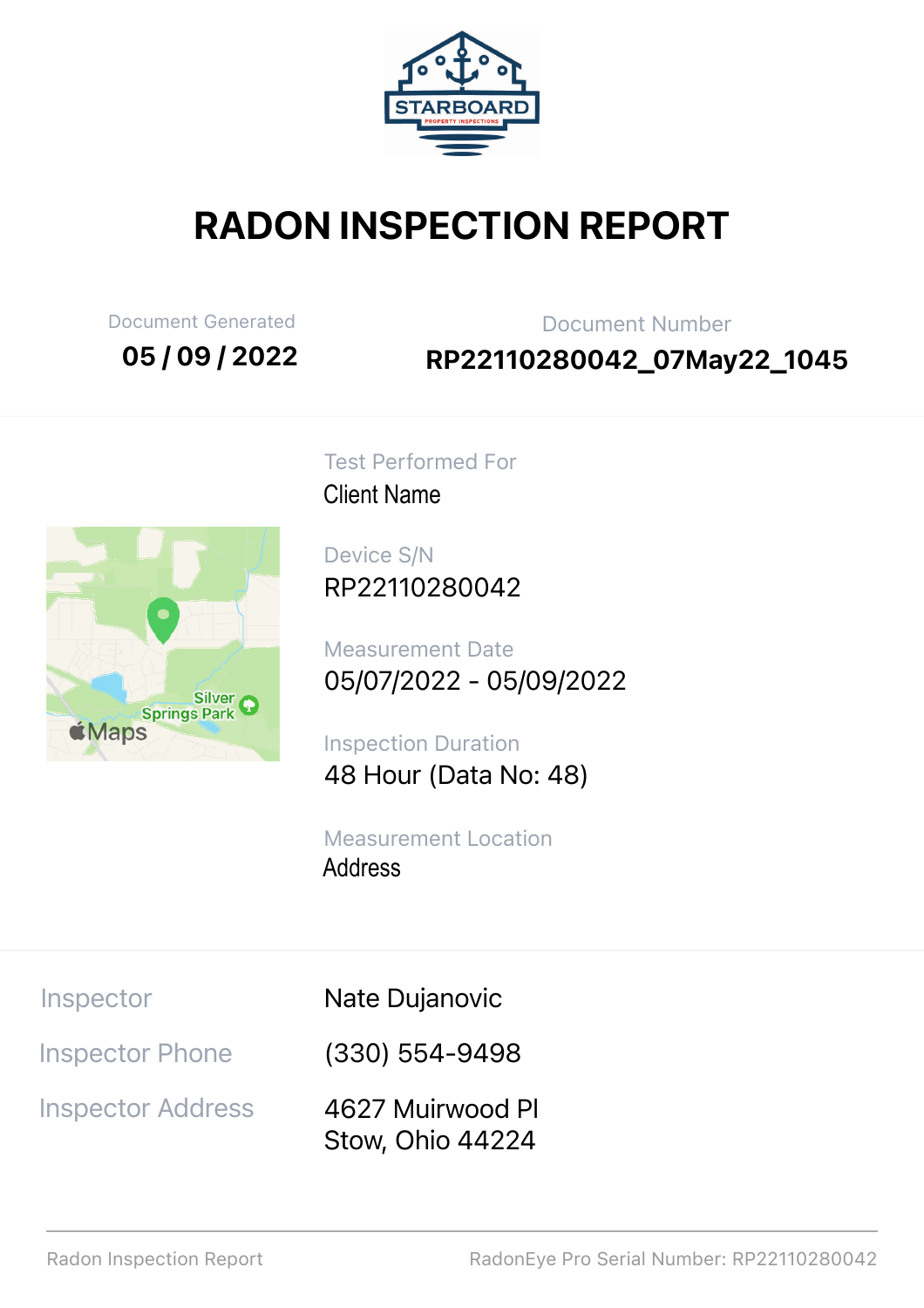

# RADON INSPECTION REPORT

Document Generated

05 / 09 / 2022

Document Number RP22110280042\_07May22\_1045



Test Performed For **Client Name** 

Device S/N RP22110280042

Measurement Date 05/07/2022 - 05/09/2022 Client Name<br>Device S/N<br>RP221102<br>Measureme<br>05/07/202<br>Inspection I<br>48 Hour (I<br>Measureme<br>Address

Inspection Duration 48 Hour (Data No: 48)

Measurement Location Address

Inspector

Nate Dujanovic

Inspector Phone

Inspector Address

(330) 554-9498

4627 Muirwood Pl Stow, Ohio 44224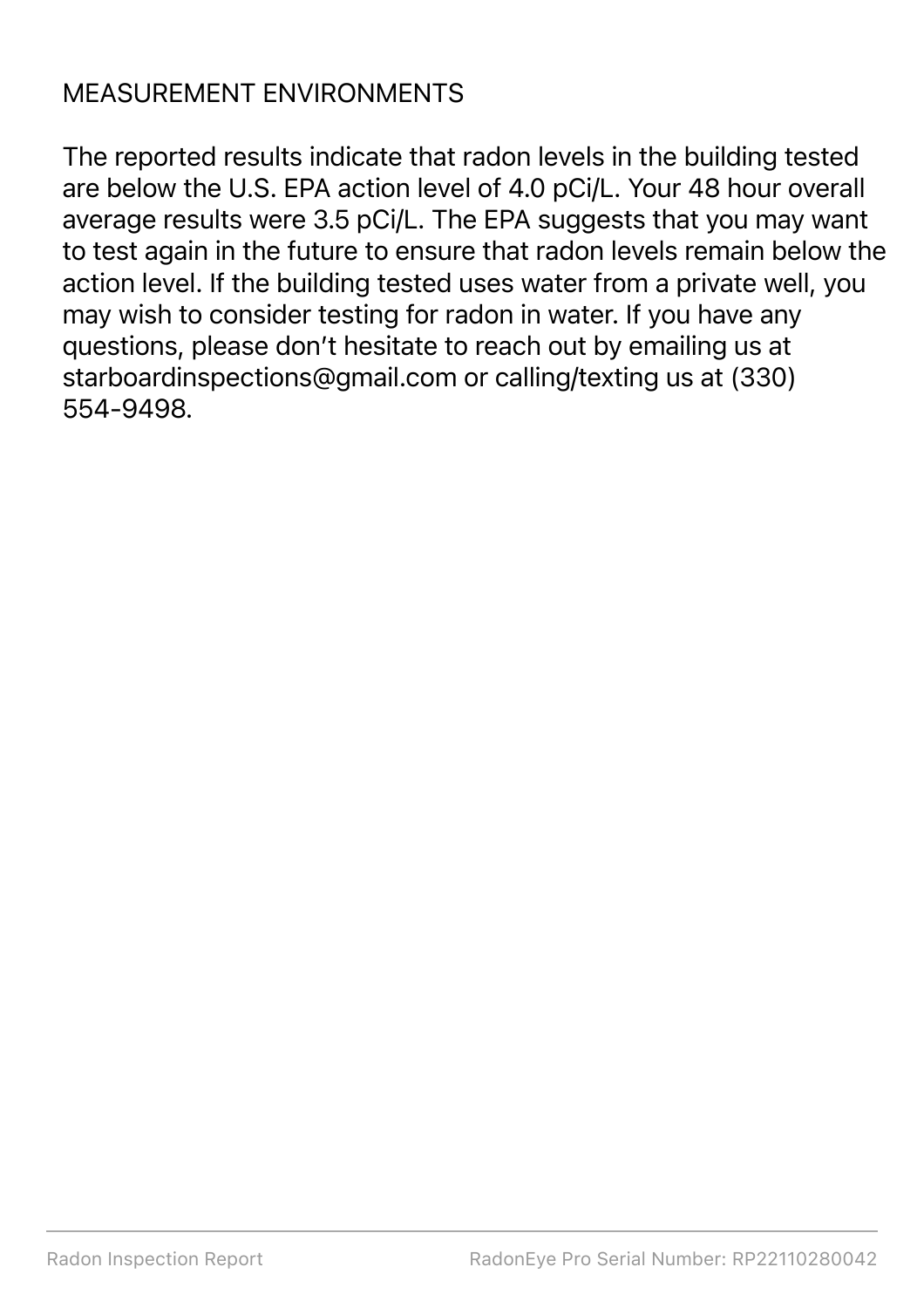### MEASUREMENT ENVIRONMENTS

The reported results indicate that radon levels in the building tested are below the U.S. EPA action level of 4.0 pCi/L. Your 48 hour overall average results were 3.5 pCi/L. The EPA suggests that you may want to test again in the future to ensure that radon levels remain below the action level. If the building tested uses water from a private well, you may wish to consider testing for radon in water. If you have any questions, please don't hesitate to reach out by emailing us at starboardinspections@gmail.com or calling/texting us at (330) 554-9498.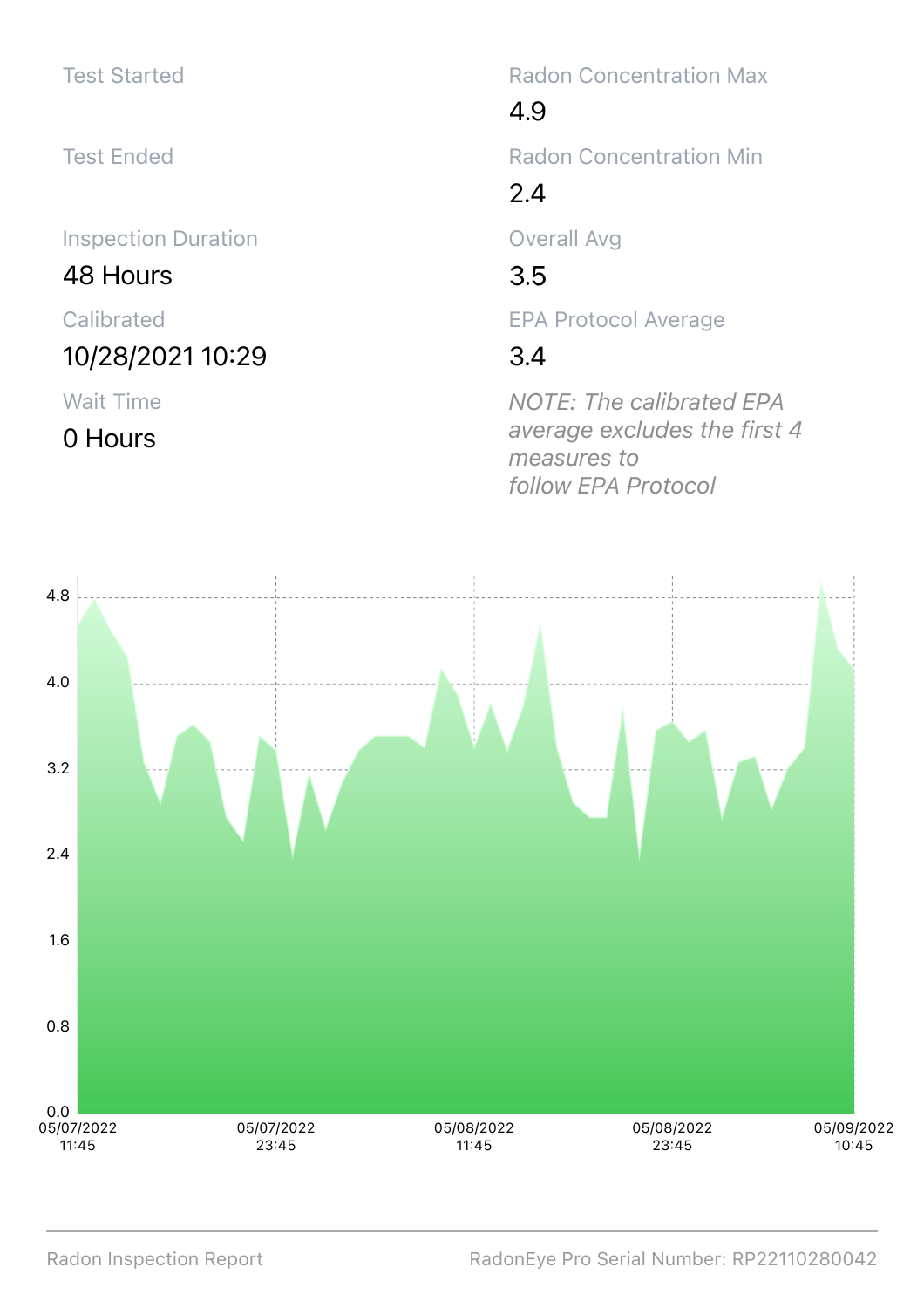#### Test Started

Test Ended

Inspection Duration

48 Hours

Calibrated

10/28/2021 10:29

Wait Time

0 Hours

Radon Concentration Max

4.9

Radon Concentration Min

2.4

Overall Avg

 $3.5$ 

EPA Protocol Average

#### 3.4

*NOTE: The calibrated EPA average excludes the first 4 measures to follow EPA Protocol*

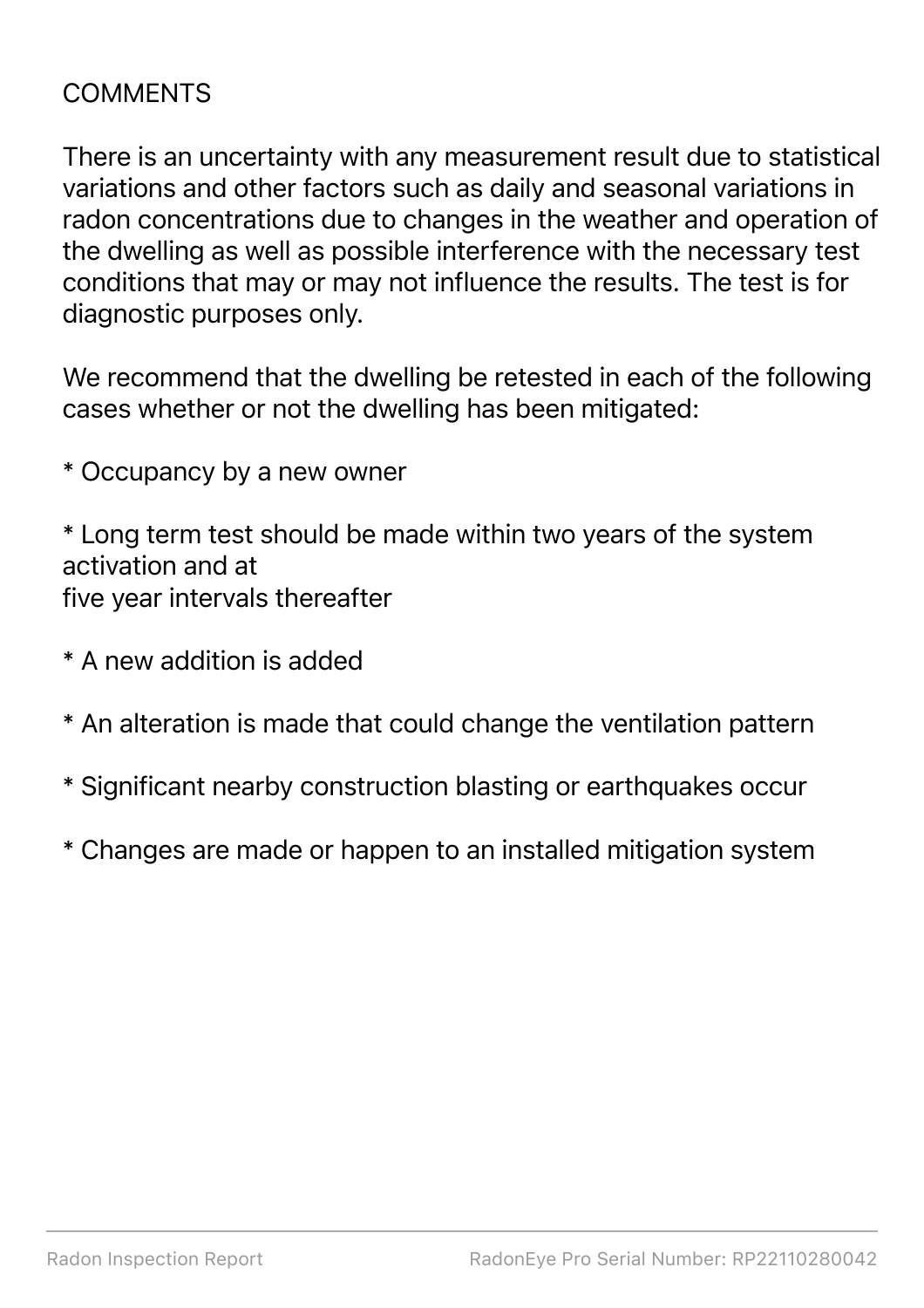#### COMMENTS

There is an uncertainty with any measurement result due to statistical variations and other factors such as daily and seasonal variations in radon concentrations due to changes in the weather and operation of the dwelling as well as possible interference with the necessary test conditions that may or may not influence the results. The test is for diagnostic purposes only.

We recommend that the dwelling be retested in each of the following cases whether or not the dwelling has been mitigated:

\* Occupancy by a new owner

\* Long term test should be made within two years of the system activation and at five year intervals thereafter

- \* A new addition is added
- \* An alteration is made that could change the ventilation pattern
- \* Significant nearby construction blasting or earthquakes occur
- \* Changes are made or happen to an installed mitigation system